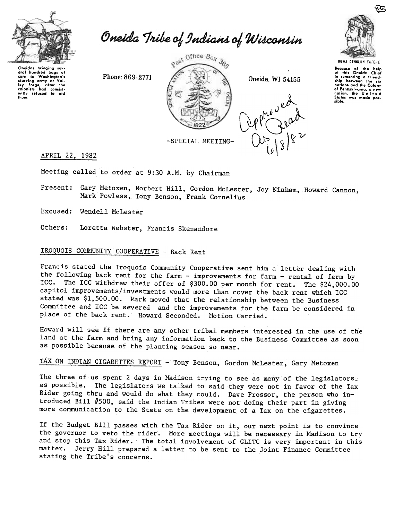

Oneida Tribe of Indians of Wisconsin

Oneidas brinaina sev oral hundrod bags of oral hundred bags of<br>corn to Washington's<br>starving army at Val-<br>loy Forge, after the<br>colonists had consist-<br>only refused to aid them.

Phone: 869-2771



Oneida, WI 54155





Because of the help<br>of this Oneida Chief<br>in comenting a friend-<br>ship between the six<br>nations and the Colony<br>and he Colony of Pennsylvania, a new<br>nation, the United sible.

## APRIL 22, 1982

Meeting called to order at 9:30 A.M. by Chairman

Present: Gary Metoxen, Norbert Hill, Gordon McLester, Joy Ninham, Howard Cannon, Mark Powless, Tony Benson, Frank Cornelius

Excused: Wendell McLester

Others: Loretta Webster, Francis Skenandore

# IROQUOIS COMMUNITY COOPERATIVE - Back Rent

Francis stated the Iroquois Community Cooperative sent him a letter dealing with the following back rent for the farm - improvements for farm - rental of farm by ICC. The ICC withdrew their offer of \$300.00 per month for rent. The \$24,000.00 capitol improvements/investments would more than cover the back rent which ICC stated was \$1,500.00. Mark moved that the relationship between the Business Committee and ICC be severed and the improvements for the farm be considered in place of the back rent. Howard Seconded. Motion Carried.

Howard will see if there are any other tribal members interested in the use of the land at the farm and bring any information back to the Business Committee as soon as possible because of the planting season so near.

# TAX ON INDIAN CIGARETTES REPORT - Tony Benson, Gordon McLester, Gary Metoxen

The three of us spent 2 days in Madison trying to see as many of the legislators. as possible. The legislators we talked to said they were not in favor of the Tax Rider going thru and would do what they could. Dave Prossor, the person who introduced Bill #500, said the Indian Tribes were not doing their part in giving more communication to the State on the development of a Tax on the cigarettes.

If the Budget Bill passes with the Tax Rider on it, our next point is to convince the governor to veto the rider. More meetings will be necessary in Madison to try and stop this Tax Rider. The total involvement of GLITC is very important in this matter. Jerry Hill prepared a letter to be sent to the Joint Finance Committee stating the Tribe's concerns.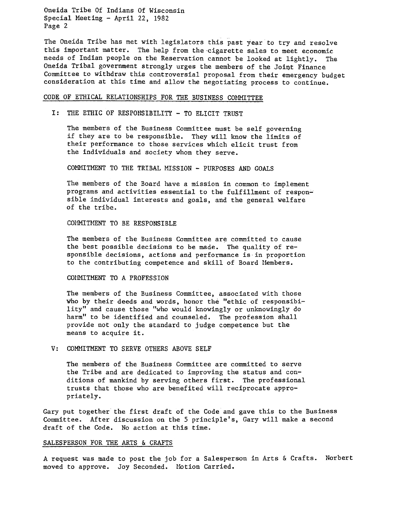Oneida Tribe Of Indians Of Wisconsin Special Meeting - April 22, 1982 Page 2

The Oneida Tribe has met with legislators this past year to try and resolve this important matter. The help from the-cigarette sales to meet economic needs of Indian people on the Reservation cannot be looked at lightly. The Oneida Tribal government strongly urges the members of the Joint Finance Committee to withdraw this controversial proposal from their emergency budget consideration at this time and allow the negotiating process to continue.

#### CODE OF ETHICAL RELATIONSHIPS FOR THE BUSINESS COMMITTEE

#### I: THE ETHIC OF RESPONSIBILITY - TO ELICIT TRUST

The members of the Business Committee must be self governing if they are to be responsible. They will know the limits of their performance to those services which elicit trust from the individuals and society whom they serve.

COMMITMENT TO THE TRIBAL MISSION - PURPOSES AND GOALS

The members of the Board have a mission in common to implement programs and activities essential to the fulfillment of responsible individual interests and goals, and the general welfare of the tribe.

### COMMITMENT TO BE RESPONSIBLE

The members of the Business Committee are committed to cause the best possible decisions to be made. The quality of responsible decisions, actions and performance is in proportion to the contributing competence and skill of Board Members.

#### COMMITMENT TO A PROFESSION

The members of the Business Committee, associated with those who by their deeds and words, honor the "ethic of responsibility" and cause those "who would knowingly or unknowingly do harm" to be identified and counseled. The profession shall provide not only the standard to judge competence but the means to acquire it.

#### V: COMMITMENT TO SERVE OTHERS ABOVE SELF

The members of the Business Committee are committed to serve the Tribe and are dedicated to improving the status and conditions of mankind by serving others first. The professional trusts that those who are benefited will reciprocate appropriately.

Gary put together the first draft of the Code and gave this to the Business Committee. After discussion on the 5 principle's, Gary will make a second draft of the Code. No action at this time.

#### SALESPERSON FOR THE ARTS & CRAFTS

A request was made to post the job for a Salesperson in Arts & Crafts. Norber moved to approve. Joy Seconded. Motion Carried.